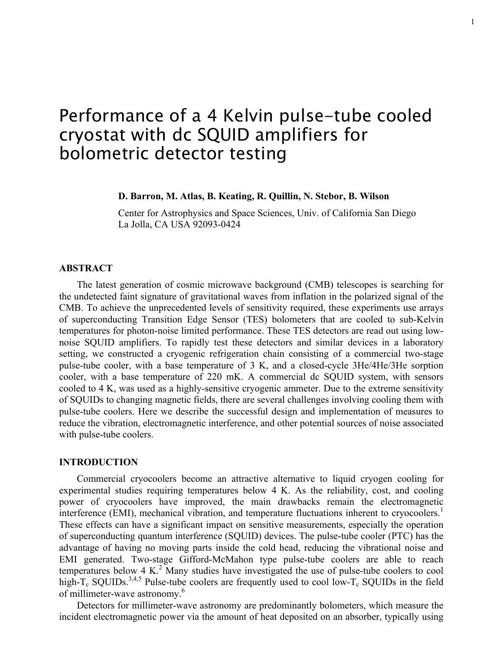# Performance of a 4 Kelvin pulse-tube cooled cryostat with dc SQUID amplifiers for bolometric detector testing

# **D. Barron, M. Atlas, B. Keating, R. Quillin, N. Stebor, B. Wilson**

Center for Astrophysics and Space Sciences, Univ. of California San Diego La Jolla, CA USA 92093-0424

# **ABSTRACT**

The latest generation of cosmic microwave background (CMB) telescopes is searching for the undetected faint signature of gravitational waves from inflation in the polarized signal of the CMB. To achieve the unprecedented levels of sensitivity required, these experiments use arrays of superconducting Transition Edge Sensor (TES) bolometers that are cooled to sub-Kelvin temperatures for photon-noise limited performance. These TES detectors are read out using lownoise SQUID amplifiers. To rapidly test these detectors and similar devices in a laboratory setting, we constructed a cryogenic refrigeration chain consisting of a commercial two-stage pulse-tube cooler, with a base temperature of 3 K, and a closed-cycle 3He/4He/3He sorption cooler, with a base temperature of 220 mK. A commercial dc SQUID system, with sensors cooled to 4 K, was used as a highly-sensitive cryogenic ammeter. Due to the extreme sensitivity of SQUIDs to changing magnetic fields, there are several challenges involving cooling them with pulse-tube coolers. Here we describe the successful design and implementation of measures to reduce the vibration, electromagnetic interference, and other potential sources of noise associated with pulse-tube coolers.

#### **INTRODUCTION**

Commercial cryocoolers become an attractive alternative to liquid cryogen cooling for experimental studies requiring temperatures below 4 K. As the reliability, cost, and cooling power of cryocoolers have improved, the main drawbacks remain the electromagnetic interference (EMI), mechanical vibration, and temperature fluctuations inherent to cryocoolers.<sup>1</sup> These effects can have a significant impact on sensitive measurements, especially the operation of superconducting quantum interference (SQUID) devices. The pulse-tube cooler (PTC) has the advantage of having no moving parts inside the cold head, reducing the vibrational noise and EMI generated. Two-stage Gifford-McMahon type pulse-tube coolers are able to reach temperatures below  $4 K<sup>2</sup>$  Many studies have investigated the use of pulse-tube coolers to cool high-T<sub>c</sub> SQUIDs.<sup>3,4,5</sup> Pulse-tube coolers are frequently used to cool low-T<sub>c</sub> SQUIDs in the field of millimeter-wave astronomy.<sup>6</sup>

Detectors for millimeter-wave astronomy are predominantly bolometers, which measure the incident electromagnetic power via the amount of heat deposited on an absorber, typically using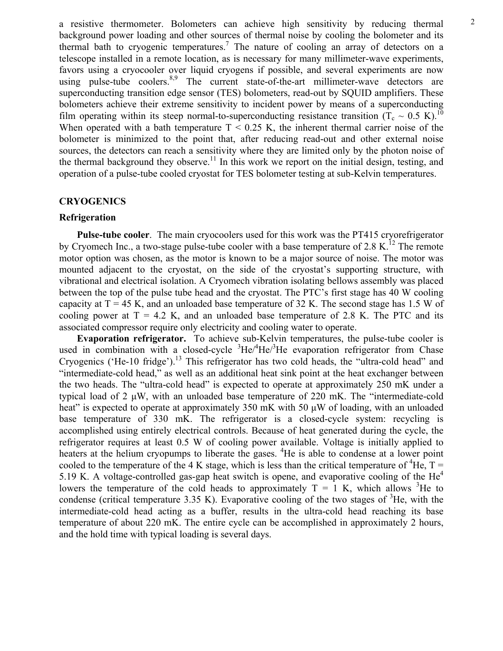2 a resistive thermometer. Bolometers can achieve high sensitivity by reducing thermal background power loading and other sources of thermal noise by cooling the bolometer and its thermal bath to cryogenic temperatures.<sup>7</sup> The nature of cooling an array of detectors on a telescope installed in a remote location, as is necessary for many millimeter-wave experiments, favors using a cryocooler over liquid cryogens if possible, and several experiments are now using pulse-tube coolers.<sup>8,9</sup> The current state-of-the-art millimeter-wave detectors are superconducting transition edge sensor (TES) bolometers, read-out by SQUID amplifiers. These bolometers achieve their extreme sensitivity to incident power by means of a superconducting film operating within its steep normal-to-superconducting resistance transition  $(T_c \sim 0.5 \text{ K})$ .<sup>10</sup> When operated with a bath temperature  $T < 0.25$  K, the inherent thermal carrier noise of the bolometer is minimized to the point that, after reducing read-out and other external noise sources, the detectors can reach a sensitivity where they are limited only by the photon noise of the thermal background they observe.<sup>11</sup> In this work we report on the initial design, testing, and operation of a pulse-tube cooled cryostat for TES bolometer testing at sub-Kelvin temperatures.

# **CRYOGENICS**

### **Refrigeration**

**Pulse-tube cooler**. The main cryocoolers used for this work was the PT415 cryorefrigerator by Cryomech Inc., a two-stage pulse-tube cooler with a base temperature of 2.8 K.<sup>12</sup> The remote motor option was chosen, as the motor is known to be a major source of noise. The motor was mounted adjacent to the cryostat, on the side of the cryostat's supporting structure, with vibrational and electrical isolation. A Cryomech vibration isolating bellows assembly was placed between the top of the pulse tube head and the cryostat. The PTC's first stage has 40 W cooling capacity at  $T = 45$  K, and an unloaded base temperature of 32 K. The second stage has 1.5 W of cooling power at  $T = 4.2$  K, and an unloaded base temperature of 2.8 K. The PTC and its associated compressor require only electricity and cooling water to operate.

**Evaporation refrigerator.** To achieve sub-Kelvin temperatures, the pulse-tube cooler is used in combination with a closed-cycle  ${}^{3}$ He/ ${}^{4}$ He/ ${}^{3}$ He evaporation refrigerator from Chase Cryogenics ('He-10 fridge').<sup>13</sup> This refrigerator has two cold heads, the "ultra-cold head" and "intermediate-cold head," as well as an additional heat sink point at the heat exchanger between the two heads. The "ultra-cold head" is expected to operate at approximately 250 mK under a typical load of  $2 \mu W$ , with an unloaded base temperature of  $220 \text{ mK}$ . The "intermediate-cold" heat" is expected to operate at approximately 350 mK with 50  $\mu$ W of loading, with an unloaded base temperature of 330 mK. The refrigerator is a closed-cycle system: recycling is accomplished using entirely electrical controls. Because of heat generated during the cycle, the refrigerator requires at least 0.5 W of cooling power available. Voltage is initially applied to heaters at the helium cryopumps to liberate the gases. <sup>4</sup>He is able to condense at a lower point cooled to the temperature of the 4 K stage, which is less than the critical temperature of <sup>4</sup>He, T = 5.19 K. A voltage-controlled gas-gap heat switch is opene, and evaporative cooling of the  $He<sup>4</sup>$ lowers the temperature of the cold heads to approximately  $T = 1$  K, which allows <sup>3</sup>He to condense (critical temperature 3.35 K). Evaporative cooling of the two stages of  ${}^{3}$ He, with the intermediate-cold head acting as a buffer, results in the ultra-cold head reaching its base temperature of about 220 mK. The entire cycle can be accomplished in approximately 2 hours, and the hold time with typical loading is several days.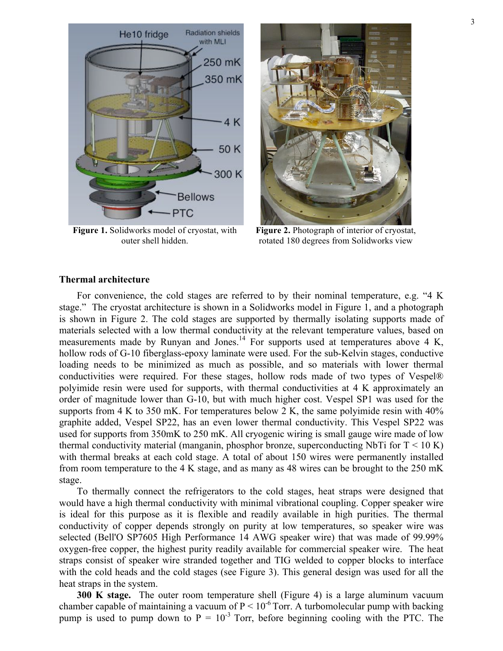

**Figure 1.** Solidworks model of cryostat, with outer shell hidden.



**Figure 2.** Photograph of interior of cryostat, rotated 180 degrees from Solidworks view

#### **Thermal architecture**

For convenience, the cold stages are referred to by their nominal temperature, e.g. "4 K stage." The cryostat architecture is shown in a Solidworks model in Figure 1, and a photograph is shown in Figure 2. The cold stages are supported by thermally isolating supports made of materials selected with a low thermal conductivity at the relevant temperature values, based on measurements made by Runyan and Jones.<sup>14</sup> For supports used at temperatures above 4 K, hollow rods of G-10 fiberglass-epoxy laminate were used. For the sub-Kelvin stages, conductive loading needs to be minimized as much as possible, and so materials with lower thermal conductivities were required. For these stages, hollow rods made of two types of Vespel® polyimide resin were used for supports, with thermal conductivities at 4 K approximately an order of magnitude lower than G-10, but with much higher cost. Vespel SP1 was used for the supports from 4 K to 350 mK. For temperatures below 2 K, the same polyimide resin with  $40\%$ graphite added, Vespel SP22, has an even lower thermal conductivity. This Vespel SP22 was used for supports from 350mK to 250 mK. All cryogenic wiring is small gauge wire made of low thermal conductivity material (manganin, phosphor bronze, superconducting NbTi for  $T < 10$  K) with thermal breaks at each cold stage. A total of about 150 wires were permanently installed from room temperature to the 4 K stage, and as many as 48 wires can be brought to the 250 mK stage.

To thermally connect the refrigerators to the cold stages, heat straps were designed that would have a high thermal conductivity with minimal vibrational coupling. Copper speaker wire is ideal for this purpose as it is flexible and readily available in high purities. The thermal conductivity of copper depends strongly on purity at low temperatures, so speaker wire was selected (Bell'O SP7605 High Performance 14 AWG speaker wire) that was made of 99.99% oxygen-free copper, the highest purity readily available for commercial speaker wire. The heat straps consist of speaker wire stranded together and TIG welded to copper blocks to interface with the cold heads and the cold stages (see Figure 3). This general design was used for all the heat straps in the system.

**300 K stage.** The outer room temperature shell (Figure 4) is a large aluminum vacuum chamber capable of maintaining a vacuum of  $P < 10^{-6}$  Torr. A turbomolecular pump with backing pump is used to pump down to  $P = 10^{-3}$  Torr, before beginning cooling with the PTC. The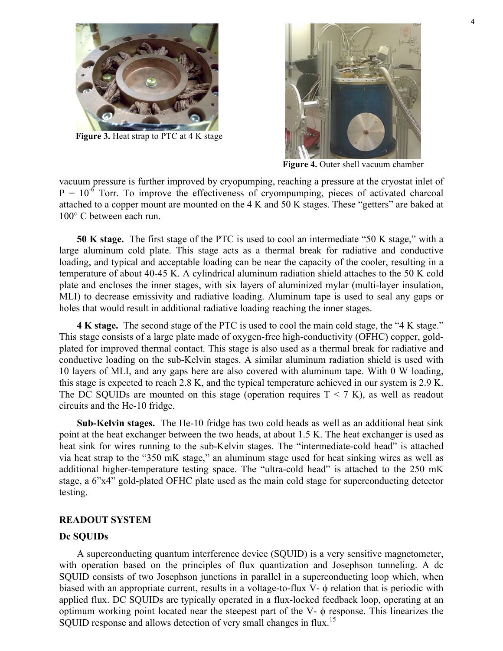

**Figure 3.** Heat strap to PTC at 4 K stage



**Figure 4.** Outer shell vacuum chamber

vacuum pressure is further improved by cryopumping, reaching a pressure at the cryostat inlet of  $P = 10^{-6}$  Torr. To improve the effectiveness of cryompumping, pieces of activated charcoal attached to a copper mount are mounted on the 4 K and 50 K stages. These "getters" are baked at 100° C between each run.

**50 K stage.** The first stage of the PTC is used to cool an intermediate "50 K stage," with a large aluminum cold plate. This stage acts as a thermal break for radiative and conductive loading, and typical and acceptable loading can be near the capacity of the cooler, resulting in a temperature of about 40-45 K. A cylindrical aluminum radiation shield attaches to the 50 K cold plate and encloses the inner stages, with six layers of aluminized mylar (multi-layer insulation, MLI) to decrease emissivity and radiative loading. Aluminum tape is used to seal any gaps or holes that would result in additional radiative loading reaching the inner stages.

**4 K stage.** The second stage of the PTC is used to cool the main cold stage, the "4 K stage." This stage consists of a large plate made of oxygen-free high-conductivity (OFHC) copper, goldplated for improved thermal contact. This stage is also used as a thermal break for radiative and conductive loading on the sub-Kelvin stages. A similar aluminum radiation shield is used with 10 layers of MLI, and any gaps here are also covered with aluminum tape. With 0 W loading, this stage is expected to reach 2.8 K, and the typical temperature achieved in our system is 2.9 K. The DC SQUIDs are mounted on this stage (operation requires  $T < 7 K$ ), as well as readout circuits and the He-10 fridge.

**Sub-Kelvin stages.** The He-10 fridge has two cold heads as well as an additional heat sink point at the heat exchanger between the two heads, at about 1.5 K. The heat exchanger is used as heat sink for wires running to the sub-Kelvin stages. The "intermediate-cold head" is attached via heat strap to the "350 mK stage," an aluminum stage used for heat sinking wires as well as additional higher-temperature testing space. The "ultra-cold head" is attached to the 250 mK stage, a 6"x4" gold-plated OFHC plate used as the main cold stage for superconducting detector testing.

# **READOUT SYSTEM**

## **Dc SQUIDs**

A superconducting quantum interference device (SQUID) is a very sensitive magnetometer, with operation based on the principles of flux quantization and Josephson tunneling. A dc SQUID consists of two Josephson junctions in parallel in a superconducting loop which, when biased with an appropriate current, results in a voltage-to-flux V- ϕ relation that is periodic with applied flux. DC SQUIDs are typically operated in a flux-locked feedback loop, operating at an optimum working point located near the steepest part of the V- $\phi$  response. This linearizes the SQUID response and allows detection of very small changes in flux.<sup>15</sup>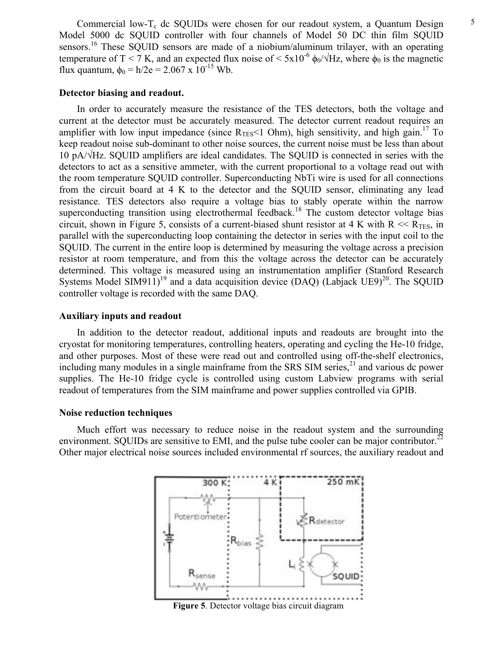### **Detector biasing and readout.**

In order to accurately measure the resistance of the TES detectors, both the voltage and current at the detector must be accurately measured. The detector current readout requires an amplifier with low input impedance (since  $R_{TES}$ <1 Ohm), high sensitivity, and high gain.<sup>17</sup> To keep readout noise sub-dominant to other noise sources, the current noise must be less than about 10 pA/√Hz. SQUID amplifiers are ideal candidates. The SQUID is connected in series with the detectors to act as a sensitive ammeter, with the current proportional to a voltage read out with the room temperature SQUID controller. Superconducting NbTi wire is used for all connections from the circuit board at 4 K to the detector and the SQUID sensor, eliminating any lead resistance. TES detectors also require a voltage bias to stably operate within the narrow superconducting transition using electrothermal feedback.<sup>18</sup> The custom detector voltage bias circuit, shown in Figure 5, consists of a current-biased shunt resistor at 4 K with  $R \ll R_{TES}$ , in parallel with the superconducting loop containing the detector in series with the input coil to the SQUID. The current in the entire loop is determined by measuring the voltage across a precision resistor at room temperature, and from this the voltage across the detector can be accurately determined. This voltage is measured using an instrumentation amplifier (Stanford Research Systems Model SIM911)<sup>19</sup> and a data acquisition device (DAQ) (Labjack UE9)<sup>20</sup>. The SQUID controller voltage is recorded with the same DAQ.

# **Auxiliary inputs and readout**

In addition to the detector readout, additional inputs and readouts are brought into the cryostat for monitoring temperatures, controlling heaters, operating and cycling the He-10 fridge, and other purposes. Most of these were read out and controlled using off-the-shelf electronics, including many modules in a single mainframe from the SRS SIM series,<sup>21</sup> and various dc power supplies. The He-10 fridge cycle is controlled using custom Labview programs with serial readout of temperatures from the SIM mainframe and power supplies controlled via GPIB.

#### **Noise reduction techniques**

Much effort was necessary to reduce noise in the readout system and the surrounding environment. SQUIDs are sensitive to EMI, and the pulse tube cooler can be major contributor.<sup>22</sup> Other major electrical noise sources included environmental rf sources, the auxiliary readout and



**Figure 5**. Detector voltage bias circuit diagram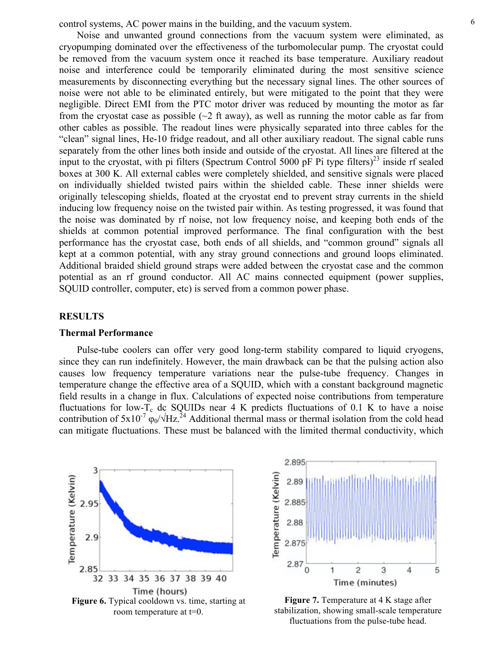6 control systems, AC power mains in the building, and the vacuum system.

Noise and unwanted ground connections from the vacuum system were eliminated, as cryopumping dominated over the effectiveness of the turbomolecular pump. The cryostat could be removed from the vacuum system once it reached its base temperature. Auxiliary readout noise and interference could be temporarily eliminated during the most sensitive science measurements by disconnecting everything but the necessary signal lines. The other sources of noise were not able to be eliminated entirely, but were mitigated to the point that they were negligible. Direct EMI from the PTC motor driver was reduced by mounting the motor as far from the cryostat case as possible  $(\sim 2$  ft away), as well as running the motor cable as far from other cables as possible. The readout lines were physically separated into three cables for the "clean" signal lines, He-10 fridge readout, and all other auxiliary readout. The signal cable runs separately from the other lines both inside and outside of the cryostat. All lines are filtered at the input to the cryostat, with pi filters (Spectrum Control 5000 pF Pi type filters)<sup>23</sup> inside rf sealed boxes at 300 K. All external cables were completely shielded, and sensitive signals were placed on individually shielded twisted pairs within the shielded cable. These inner shields were originally telescoping shields, floated at the cryostat end to prevent stray currents in the shield inducing low frequency noise on the twisted pair within. As testing progressed, it was found that the noise was dominated by rf noise, not low frequency noise, and keeping both ends of the shields at common potential improved performance. The final configuration with the best performance has the cryostat case, both ends of all shields, and "common ground" signals all kept at a common potential, with any stray ground connections and ground loops eliminated. Additional braided shield ground straps were added between the cryostat case and the common potential as an rf ground conductor. All AC mains connected equipment (power supplies, SQUID controller, computer, etc) is served from a common power phase.

## **RESULTS**

#### **Thermal Performance**

Pulse-tube coolers can offer very good long-term stability compared to liquid cryogens, since they can run indefinitely. However, the main drawback can be that the pulsing action also causes low frequency temperature variations near the pulse-tube frequency. Changes in temperature change the effective area of a SQUID, which with a constant background magnetic field results in a change in flux. Calculations of expected noise contributions from temperature fluctuations for low- $T_c$  dc SQUIDs near 4 K predicts fluctuations of 0.1 K to have a noise contribution of  $5x10^{-7}$   $\omega_0/\sqrt{Hz}$ .<sup>24</sup> Additional thermal mass or thermal isolation from the cold head can mitigate fluctuations. These must be balanced with the limited thermal conductivity, which





**Figure 7.** Temperature at 4 K stage after stabilization, showing small-scale temperature fluctuations from the pulse-tube head.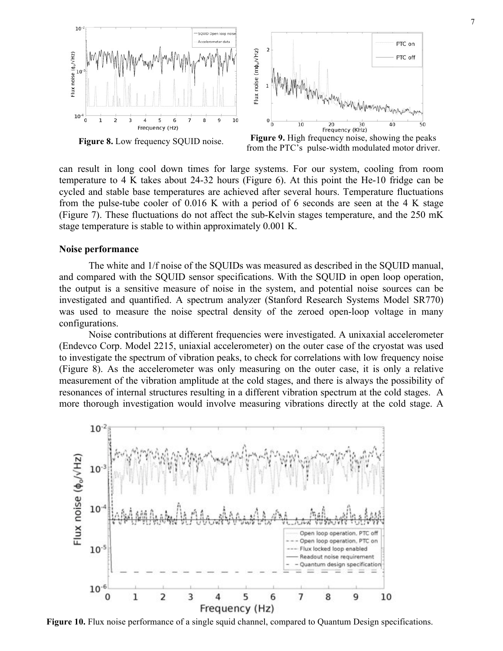

from the PTC's pulse-width modulated motor driver.

can result in long cool down times for large systems. For our system, cooling from room temperature to 4 K takes about 24-32 hours (Figure 6). At this point the He-10 fridge can be cycled and stable base temperatures are achieved after several hours. Temperature fluctuations from the pulse-tube cooler of 0.016 K with a period of 6 seconds are seen at the 4 K stage (Figure 7). These fluctuations do not affect the sub-Kelvin stages temperature, and the 250 mK stage temperature is stable to within approximately 0.001 K.

### **Noise performance**

The white and 1/f noise of the SQUIDs was measured as described in the SQUID manual, and compared with the SQUID sensor specifications. With the SQUID in open loop operation, the output is a sensitive measure of noise in the system, and potential noise sources can be investigated and quantified. A spectrum analyzer (Stanford Research Systems Model SR770) was used to measure the noise spectral density of the zeroed open-loop voltage in many configurations.

Noise contributions at different frequencies were investigated. A unixaxial accelerometer (Endevco Corp. Model 2215, uniaxial accelerometer) on the outer case of the cryostat was used to investigate the spectrum of vibration peaks, to check for correlations with low frequency noise (Figure 8). As the accelerometer was only measuring on the outer case, it is only a relative measurement of the vibration amplitude at the cold stages, and there is always the possibility of resonances of internal structures resulting in a different vibration spectrum at the cold stages. A more thorough investigation would involve measuring vibrations directly at the cold stage. A



**Figure 10.** Flux noise performance of a single squid channel, compared to Quantum Design specifications.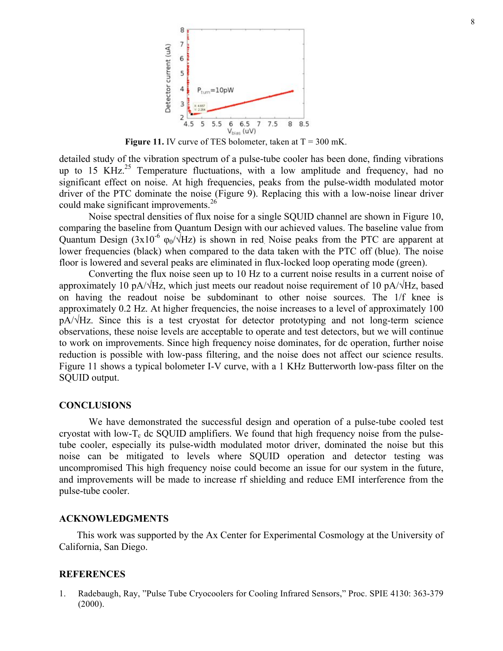

Figure 11. IV curve of TES bolometer, taken at T = 300 mK.

detailed study of the vibration spectrum of a pulse-tube cooler has been done, finding vibrations up to 15 KHz.<sup>25</sup> Temperature fluctuations, with a low amplitude and frequency, had no significant effect on noise. At high frequencies, peaks from the pulse-width modulated motor driver of the PTC dominate the noise (Figure 9). Replacing this with a low-noise linear driver could make significant improvements.<sup>26</sup>

Noise spectral densities of flux noise for a single SQUID channel are shown in Figure 10, comparing the baseline from Quantum Design with our achieved values. The baseline value from Quantum Design  $(3x10^{-6} \varphi_0/\sqrt{Hz})$  is shown in red. Noise peaks from the PTC are apparent at lower frequencies (black) when compared to the data taken with the PTC off (blue). The noise floor is lowered and several peaks are eliminated in flux-locked loop operating mode (green).

Converting the flux noise seen up to 10 Hz to a current noise results in a current noise of approximately 10 pA/ $\sqrt{Hz}$ , which just meets our readout noise requirement of 10 pA/ $\sqrt{Hz}$ , based on having the readout noise be subdominant to other noise sources. The 1/f knee is approximately 0.2 Hz. At higher frequencies, the noise increases to a level of approximately 100 pA/√Hz. Since this is a test cryostat for detector prototyping and not long-term science observations, these noise levels are acceptable to operate and test detectors, but we will continue to work on improvements. Since high frequency noise dominates, for dc operation, further noise reduction is possible with low-pass filtering, and the noise does not affect our science results. Figure 11 shows a typical bolometer I-V curve, with a 1 KHz Butterworth low-pass filter on the SQUID output.

#### **CONCLUSIONS**

We have demonstrated the successful design and operation of a pulse-tube cooled test cryostat with low- $T_c$  dc SOUID amplifiers. We found that high frequency noise from the pulsetube cooler, especially its pulse-width modulated motor driver, dominated the noise but this noise can be mitigated to levels where SQUID operation and detector testing was uncompromised This high frequency noise could become an issue for our system in the future, and improvements will be made to increase rf shielding and reduce EMI interference from the pulse-tube cooler.

#### **ACKNOWLEDGMENTS**

This work was supported by the Ax Center for Experimental Cosmology at the University of California, San Diego.

## **REFERENCES**

1. Radebaugh, Ray, "Pulse Tube Cryocoolers for Cooling Infrared Sensors," Proc. SPIE 4130: 363-379 (2000).